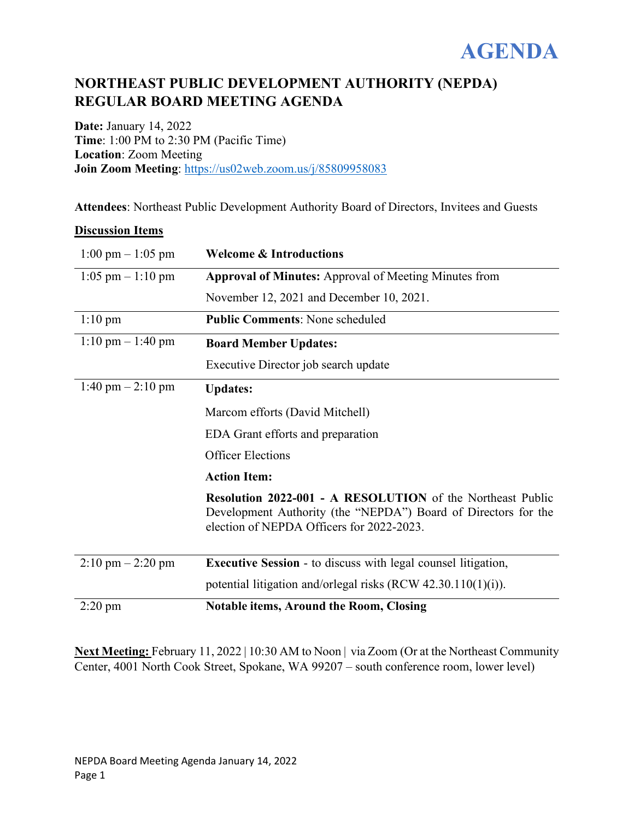

## **NORTHEAST PUBLIC DEVELOPMENT AUTHORITY (NEPDA) REGULAR BOARD MEETING AGENDA**

**Date:** January 14, 2022 **Time**: 1:00 PM to 2:30 PM (Pacific Time) **Location**: Zoom Meeting **Join Zoom Meeting**:<https://us02web.zoom.us/j/85809958083>

**Attendees**: Northeast Public Development Authority Board of Directors, Invitees and Guests

## **Discussion Items**

| $1:00 \text{ pm} - 1:05 \text{ pm}$ | <b>Welcome &amp; Introductions</b>                                                                                                                                               |
|-------------------------------------|----------------------------------------------------------------------------------------------------------------------------------------------------------------------------------|
| $1:05$ pm $-1:10$ pm                | <b>Approval of Minutes:</b> Approval of Meeting Minutes from                                                                                                                     |
|                                     | November 12, 2021 and December 10, 2021.                                                                                                                                         |
| $1:10 \text{ pm}$                   | <b>Public Comments: None scheduled</b>                                                                                                                                           |
| $1:10 \text{ pm} - 1:40 \text{ pm}$ | <b>Board Member Updates:</b>                                                                                                                                                     |
|                                     | Executive Director job search update                                                                                                                                             |
| $1:40 \text{ pm} - 2:10 \text{ pm}$ | <b>Updates:</b>                                                                                                                                                                  |
|                                     | Marcom efforts (David Mitchell)                                                                                                                                                  |
|                                     | <b>EDA</b> Grant efforts and preparation                                                                                                                                         |
|                                     | <b>Officer Elections</b>                                                                                                                                                         |
|                                     | <b>Action Item:</b>                                                                                                                                                              |
|                                     | <b>Resolution 2022-001 - A RESOLUTION</b> of the Northeast Public<br>Development Authority (the "NEPDA") Board of Directors for the<br>election of NEPDA Officers for 2022-2023. |
| $2:10 \text{ pm} - 2:20 \text{ pm}$ | <b>Executive Session - to discuss with legal counsel litigation,</b>                                                                                                             |
|                                     | potential litigation and/orlegal risks (RCW $42.30.110(1)(i)$ ).                                                                                                                 |
| $2:20$ pm                           | <b>Notable items, Around the Room, Closing</b>                                                                                                                                   |

Next Meeting: February 11, 2022 | 10:30 AM to Noon | via Zoom (Or at the Northeast Community Center, 4001 North Cook Street, Spokane, WA 99207 – south conference room, lower level)